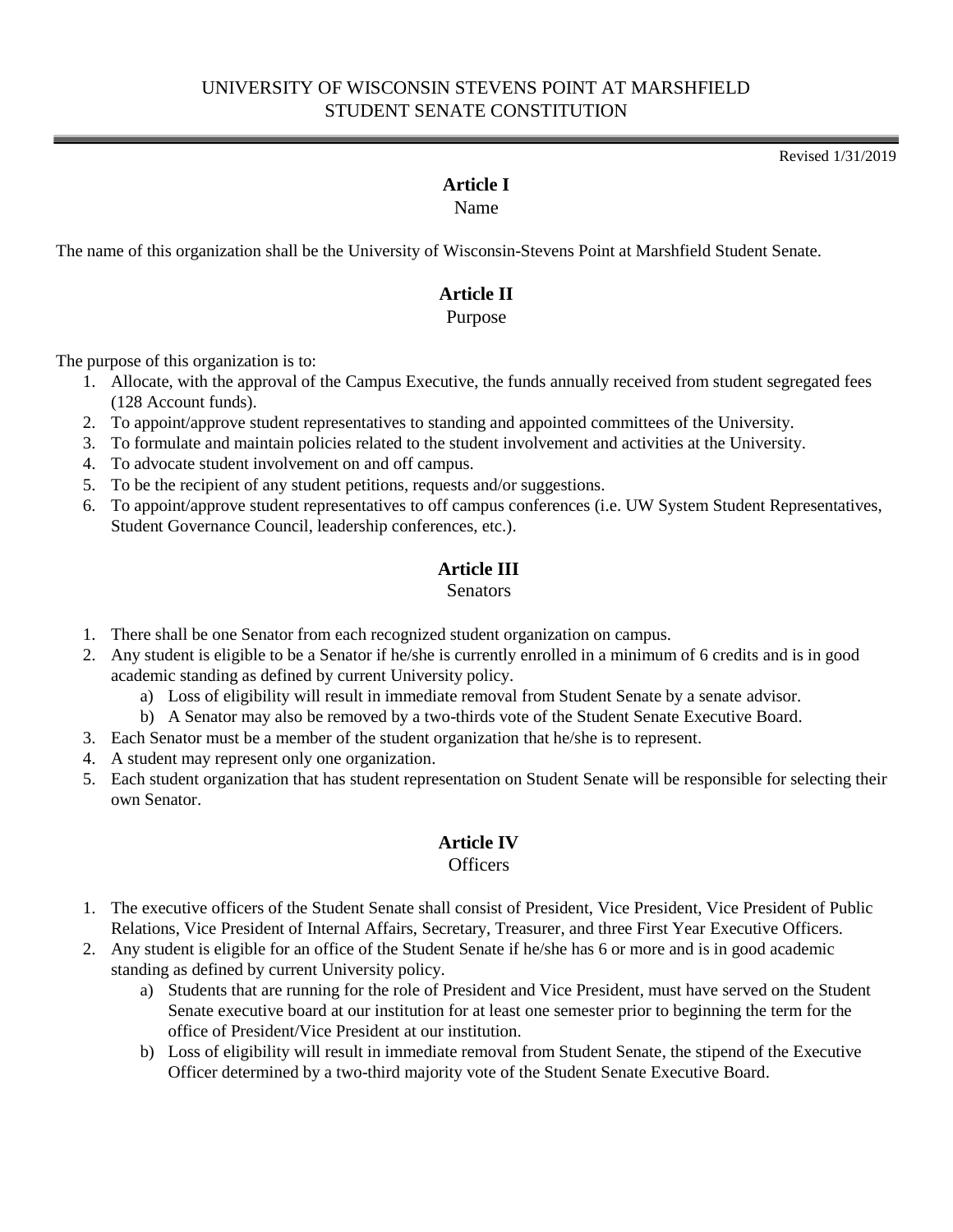## UNIVERSITY OF WISCONSIN STEVENS POINT AT MARSHFIELD STUDENT SENATE CONSTITUTION

Revised 1/31/2019

#### **Article I**

Name

The name of this organization shall be the University of Wisconsin-Stevens Point at Marshfield Student Senate.

#### **Article II**

Purpose

The purpose of this organization is to:

- 1. Allocate, with the approval of the Campus Executive, the funds annually received from student segregated fees (128 Account funds).
- 2. To appoint/approve student representatives to standing and appointed committees of the University.
- 3. To formulate and maintain policies related to the student involvement and activities at the University.
- 4. To advocate student involvement on and off campus.
- 5. To be the recipient of any student petitions, requests and/or suggestions.
- 6. To appoint/approve student representatives to off campus conferences (i.e. UW System Student Representatives, Student Governance Council, leadership conferences, etc.).

## **Article III**

#### Senators

- 1. There shall be one Senator from each recognized student organization on campus.
- 2. Any student is eligible to be a Senator if he/she is currently enrolled in a minimum of 6 credits and is in good academic standing as defined by current University policy.
	- a) Loss of eligibility will result in immediate removal from Student Senate by a senate advisor.
	- b) A Senator may also be removed by a two-thirds vote of the Student Senate Executive Board.
- 3. Each Senator must be a member of the student organization that he/she is to represent.
- 4. A student may represent only one organization.
- 5. Each student organization that has student representation on Student Senate will be responsible for selecting their own Senator.

#### **Article IV**

#### **Officers**

- 1. The executive officers of the Student Senate shall consist of President, Vice President, Vice President of Public Relations, Vice President of Internal Affairs, Secretary, Treasurer, and three First Year Executive Officers.
- 2. Any student is eligible for an office of the Student Senate if he/she has 6 or more and is in good academic standing as defined by current University policy.
	- a) Students that are running for the role of President and Vice President, must have served on the Student Senate executive board at our institution for at least one semester prior to beginning the term for the office of President/Vice President at our institution.
	- b) Loss of eligibility will result in immediate removal from Student Senate, the stipend of the Executive Officer determined by a two-third majority vote of the Student Senate Executive Board.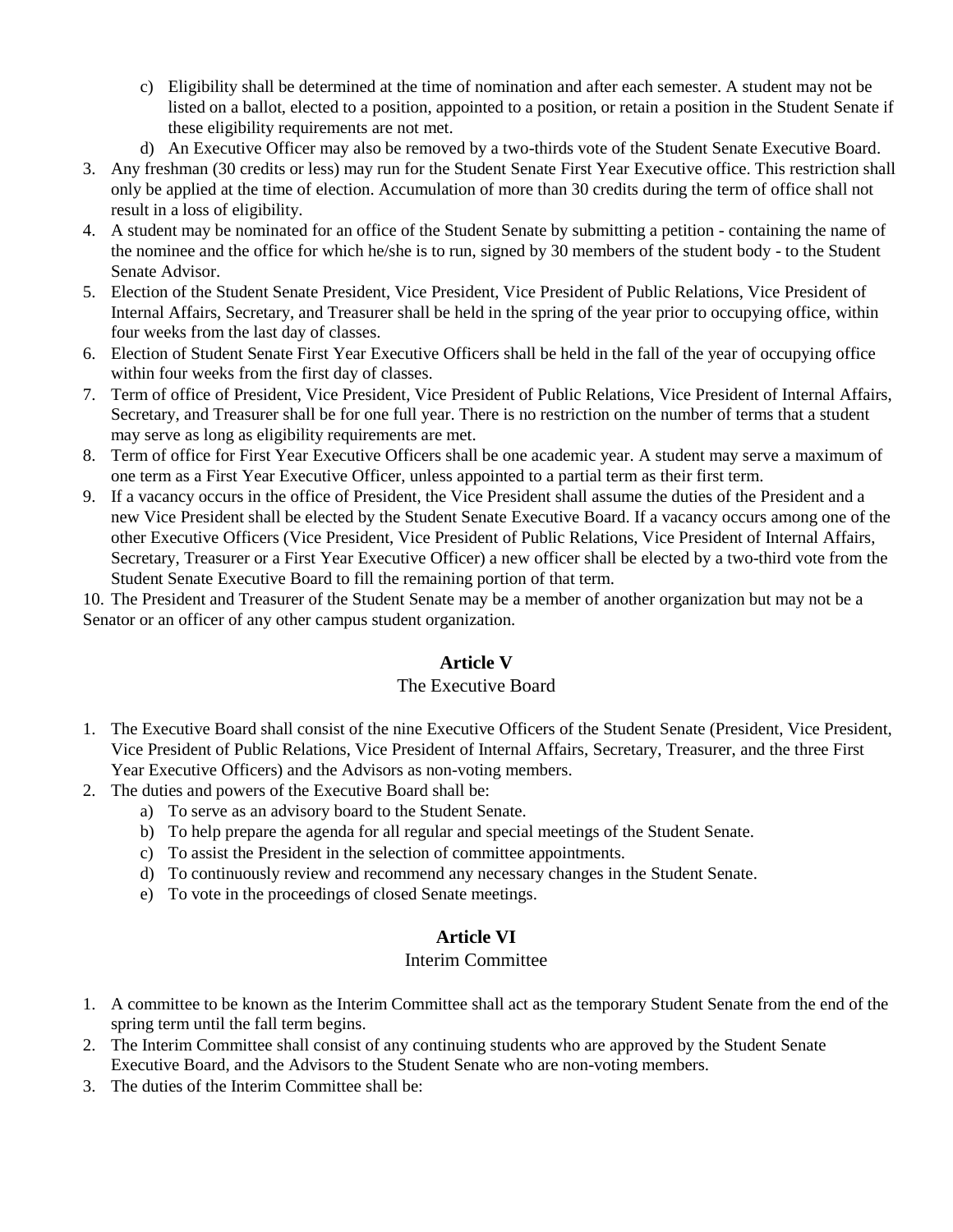- c) Eligibility shall be determined at the time of nomination and after each semester. A student may not be listed on a ballot, elected to a position, appointed to a position, or retain a position in the Student Senate if these eligibility requirements are not met.
- d) An Executive Officer may also be removed by a two-thirds vote of the Student Senate Executive Board.
- 3. Any freshman (30 credits or less) may run for the Student Senate First Year Executive office. This restriction shall only be applied at the time of election. Accumulation of more than 30 credits during the term of office shall not result in a loss of eligibility.
- 4. A student may be nominated for an office of the Student Senate by submitting a petition containing the name of the nominee and the office for which he/she is to run, signed by 30 members of the student body - to the Student Senate Advisor.
- 5. Election of the Student Senate President, Vice President, Vice President of Public Relations, Vice President of Internal Affairs, Secretary, and Treasurer shall be held in the spring of the year prior to occupying office, within four weeks from the last day of classes.
- 6. Election of Student Senate First Year Executive Officers shall be held in the fall of the year of occupying office within four weeks from the first day of classes.
- 7. Term of office of President, Vice President, Vice President of Public Relations, Vice President of Internal Affairs, Secretary, and Treasurer shall be for one full year. There is no restriction on the number of terms that a student may serve as long as eligibility requirements are met.
- 8. Term of office for First Year Executive Officers shall be one academic year. A student may serve a maximum of one term as a First Year Executive Officer, unless appointed to a partial term as their first term.
- 9. If a vacancy occurs in the office of President, the Vice President shall assume the duties of the President and a new Vice President shall be elected by the Student Senate Executive Board. If a vacancy occurs among one of the other Executive Officers (Vice President, Vice President of Public Relations, Vice President of Internal Affairs, Secretary, Treasurer or a First Year Executive Officer) a new officer shall be elected by a two-third vote from the Student Senate Executive Board to fill the remaining portion of that term.

10. The President and Treasurer of the Student Senate may be a member of another organization but may not be a Senator or an officer of any other campus student organization.

## **Article V**

#### The Executive Board

- 1. The Executive Board shall consist of the nine Executive Officers of the Student Senate (President, Vice President, Vice President of Public Relations, Vice President of Internal Affairs, Secretary, Treasurer, and the three First Year Executive Officers) and the Advisors as non-voting members.
- 2. The duties and powers of the Executive Board shall be:
	- a) To serve as an advisory board to the Student Senate.
	- b) To help prepare the agenda for all regular and special meetings of the Student Senate.
	- c) To assist the President in the selection of committee appointments.
	- d) To continuously review and recommend any necessary changes in the Student Senate.
	- e) To vote in the proceedings of closed Senate meetings.

## **Article VI**

#### Interim Committee

- 1. A committee to be known as the Interim Committee shall act as the temporary Student Senate from the end of the spring term until the fall term begins.
- 2. The Interim Committee shall consist of any continuing students who are approved by the Student Senate Executive Board, and the Advisors to the Student Senate who are non-voting members.
- 3. The duties of the Interim Committee shall be: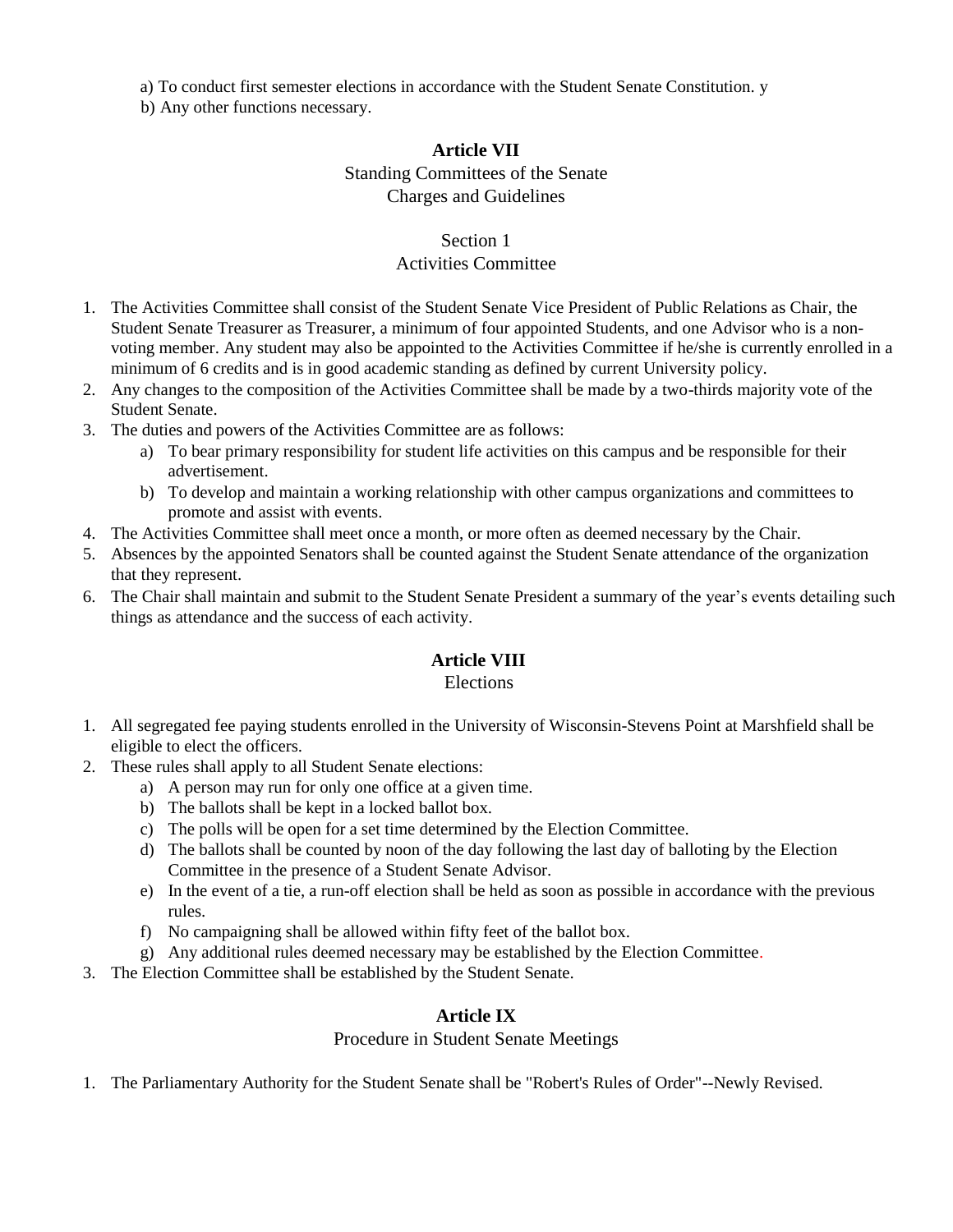a) To conduct first semester elections in accordance with the Student Senate Constitution. y

b) Any other functions necessary.

## **Article VII**

### Standing Committees of the Senate

Charges and Guidelines

### Section 1

### Activities Committee

- 1. The Activities Committee shall consist of the Student Senate Vice President of Public Relations as Chair, the Student Senate Treasurer as Treasurer, a minimum of four appointed Students, and one Advisor who is a nonvoting member. Any student may also be appointed to the Activities Committee if he/she is currently enrolled in a minimum of 6 credits and is in good academic standing as defined by current University policy.
- 2. Any changes to the composition of the Activities Committee shall be made by a two-thirds majority vote of the Student Senate.
- 3. The duties and powers of the Activities Committee are as follows:
	- a) To bear primary responsibility for student life activities on this campus and be responsible for their advertisement.
	- b) To develop and maintain a working relationship with other campus organizations and committees to promote and assist with events.
- 4. The Activities Committee shall meet once a month, or more often as deemed necessary by the Chair.
- 5. Absences by the appointed Senators shall be counted against the Student Senate attendance of the organization that they represent.
- 6. The Chair shall maintain and submit to the Student Senate President a summary of the year's events detailing such things as attendance and the success of each activity.

## **Article VIII**

#### Elections

- 1. All segregated fee paying students enrolled in the University of Wisconsin-Stevens Point at Marshfield shall be eligible to elect the officers.
- 2. These rules shall apply to all Student Senate elections:
	- a) A person may run for only one office at a given time.
	- b) The ballots shall be kept in a locked ballot box.
	- c) The polls will be open for a set time determined by the Election Committee.
	- d) The ballots shall be counted by noon of the day following the last day of balloting by the Election Committee in the presence of a Student Senate Advisor.
	- e) In the event of a tie, a run-off election shall be held as soon as possible in accordance with the previous rules.
	- f) No campaigning shall be allowed within fifty feet of the ballot box.
	- g) Any additional rules deemed necessary may be established by the Election Committee.
- 3. The Election Committee shall be established by the Student Senate.

#### **Article IX**

Procedure in Student Senate Meetings

1. The Parliamentary Authority for the Student Senate shall be "Robert's Rules of Order"--Newly Revised.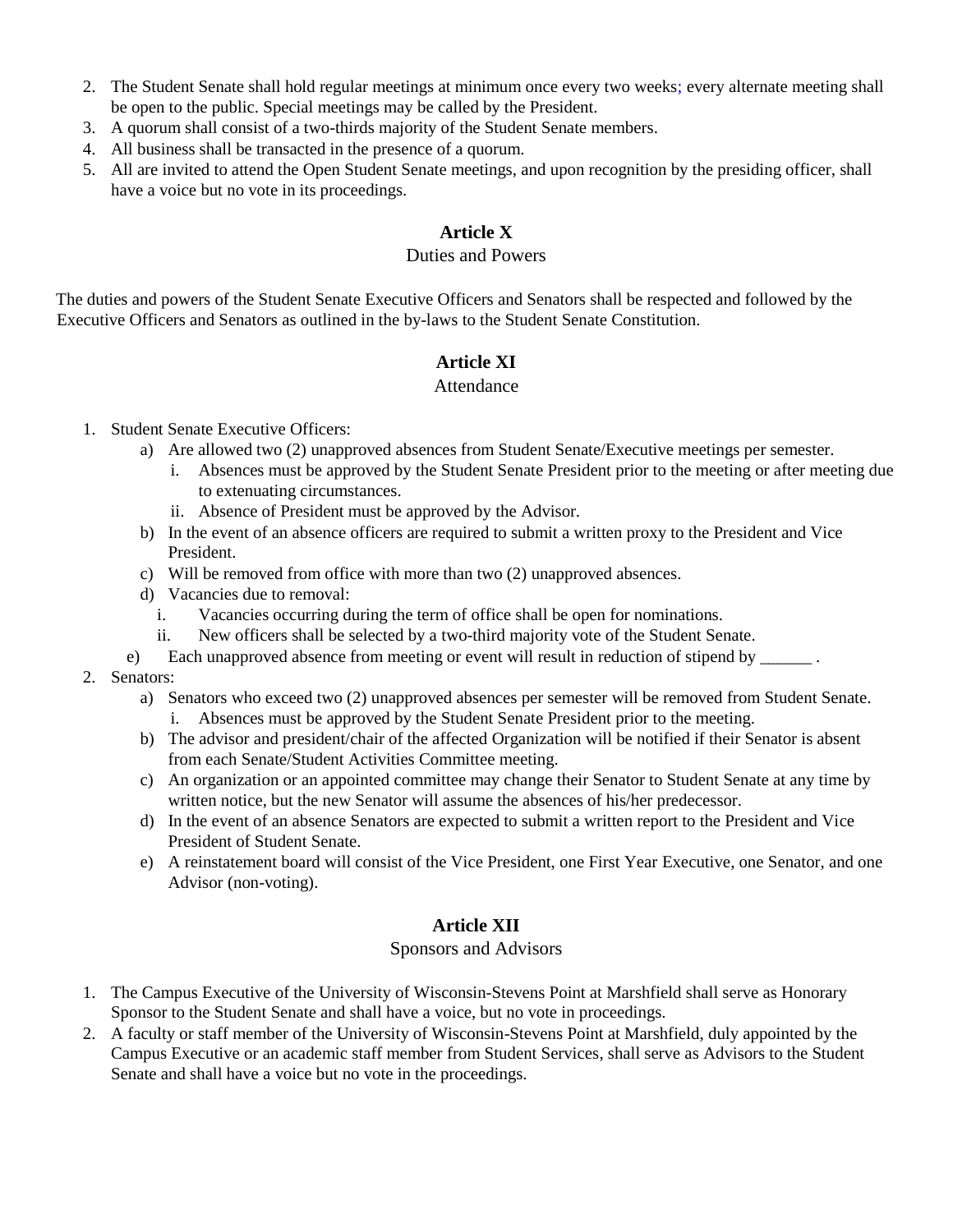- 2. The Student Senate shall hold regular meetings at minimum once every two weeks; every alternate meeting shall be open to the public. Special meetings may be called by the President.
- 3. A quorum shall consist of a two-thirds majority of the Student Senate members.
- 4. All business shall be transacted in the presence of a quorum.
- 5. All are invited to attend the Open Student Senate meetings, and upon recognition by the presiding officer, shall have a voice but no vote in its proceedings.

# **Article X**

### Duties and Powers

The duties and powers of the Student Senate Executive Officers and Senators shall be respected and followed by the Executive Officers and Senators as outlined in the by-laws to the Student Senate Constitution.

# **Article XI**

#### Attendance

- 1. Student Senate Executive Officers:
	- a) Are allowed two (2) unapproved absences from Student Senate/Executive meetings per semester.
		- i. Absences must be approved by the Student Senate President prior to the meeting or after meeting due to extenuating circumstances.
		- ii. Absence of President must be approved by the Advisor.
	- b) In the event of an absence officers are required to submit a written proxy to the President and Vice President.
	- c) Will be removed from office with more than two (2) unapproved absences.
	- d) Vacancies due to removal:
		- i. Vacancies occurring during the term of office shall be open for nominations.
		- ii. New officers shall be selected by a two-third majority vote of the Student Senate.
	- e) Each unapproved absence from meeting or event will result in reduction of stipend by \_\_\_\_\_\_ .
- 2. Senators:
	- a) Senators who exceed two (2) unapproved absences per semester will be removed from Student Senate. i. Absences must be approved by the Student Senate President prior to the meeting.
	- b) The advisor and president/chair of the affected Organization will be notified if their Senator is absent from each Senate/Student Activities Committee meeting.
	- c) An organization or an appointed committee may change their Senator to Student Senate at any time by written notice, but the new Senator will assume the absences of his/her predecessor.
	- d) In the event of an absence Senators are expected to submit a written report to the President and Vice President of Student Senate.
	- e) A reinstatement board will consist of the Vice President, one First Year Executive, one Senator, and one Advisor (non-voting).

## **Article XII**

### Sponsors and Advisors

- 1. The Campus Executive of the University of Wisconsin-Stevens Point at Marshfield shall serve as Honorary Sponsor to the Student Senate and shall have a voice, but no vote in proceedings.
- 2. A faculty or staff member of the University of Wisconsin-Stevens Point at Marshfield, duly appointed by the Campus Executive or an academic staff member from Student Services, shall serve as Advisors to the Student Senate and shall have a voice but no vote in the proceedings.